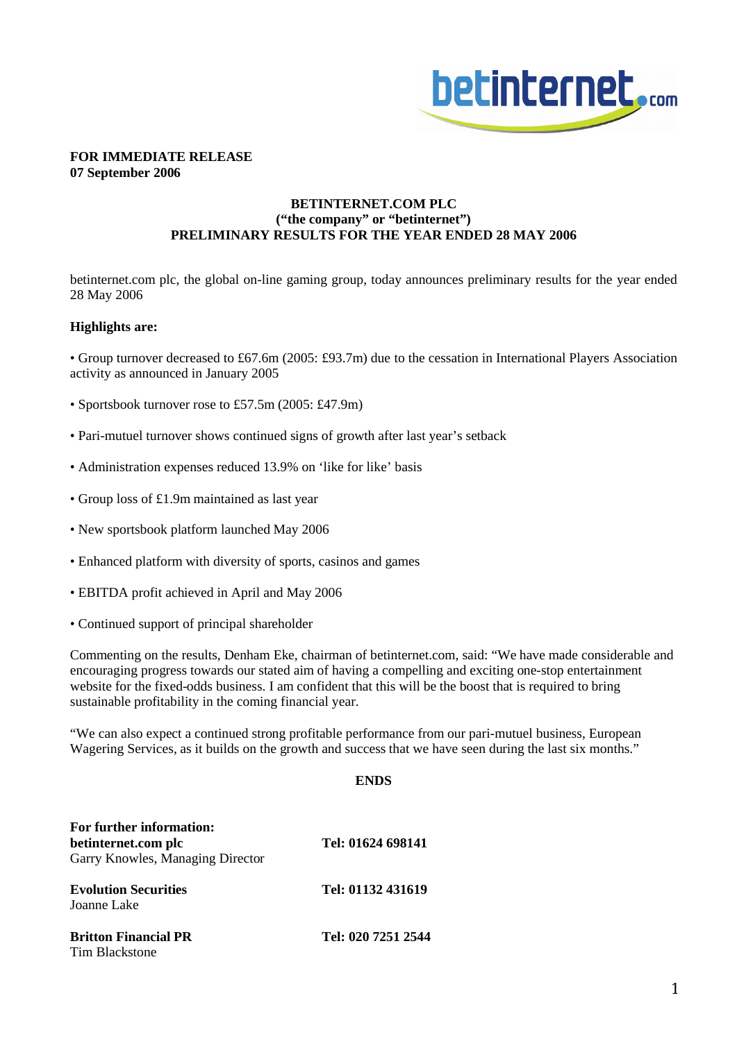

### **FOR IMMEDIATE RELEASE 07 September 2006**

# **BETINTERNET.COM PLC ("the company" or "betinternet") PRELIMINARY RESULTS FOR THE YEAR ENDED 28 MAY 2006**

betinternet.com plc, the global on-line gaming group, today announces preliminary results for the year ended 28 May 2006

## **Highlights are:**

• Group turnover decreased to £67.6m (2005: £93.7m) due to the cessation in International Players Association activity as announced in January 2005

- Sportsbook turnover rose to £57.5m (2005: £47.9m)
- Pari-mutuel turnover shows continued signs of growth after last year's setback
- Administration expenses reduced 13.9% on 'like for like' basis
- Group loss of £1.9m maintained as last year
- New sportsbook platform launched May 2006
- Enhanced platform with diversity of sports, casinos and games
- EBITDA profit achieved in April and May 2006
- Continued support of principal shareholder

Commenting on the results, Denham Eke, chairman of betinternet.com, said: "We have made considerable and encouraging progress towards our stated aim of having a compelling and exciting one-stop entertainment website for the fixed-odds business. I am confident that this will be the boost that is required to bring sustainable profitability in the coming financial year.

"We can also expect a continued strong profitable performance from our pari-mutuel business, European Wagering Services, as it builds on the growth and success that we have seen during the last six months."

#### **ENDS**

| For further information:<br>betinternet.com plc<br>Garry Knowles, Managing Director | Tel: 01624 698141  |
|-------------------------------------------------------------------------------------|--------------------|
| <b>Evolution Securities</b><br>Joanne Lake                                          | Tel: 01132 431619  |
| <b>Britton Financial PR</b><br>Tim Blackstone                                       | Tel: 020 7251 2544 |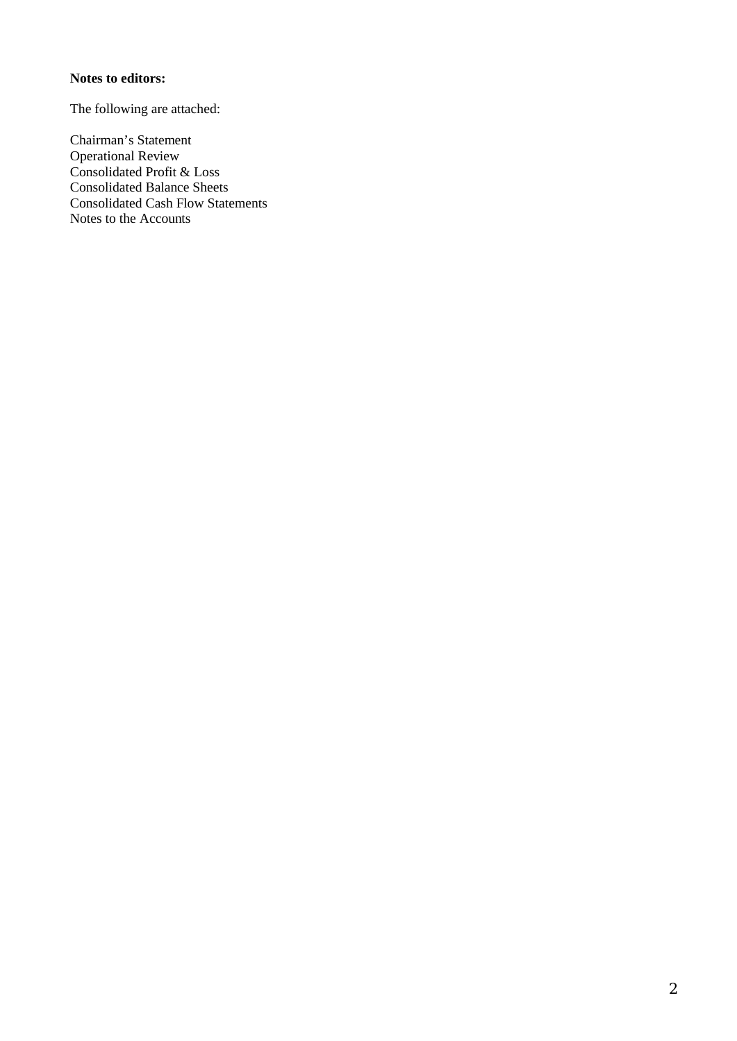# **Notes to editors:**

The following are attached:

Chairman's Statement Operational Review Consolidated Profit & Loss Consolidated Balance Sheets Consolidated Cash Flow Statements Notes to the Accounts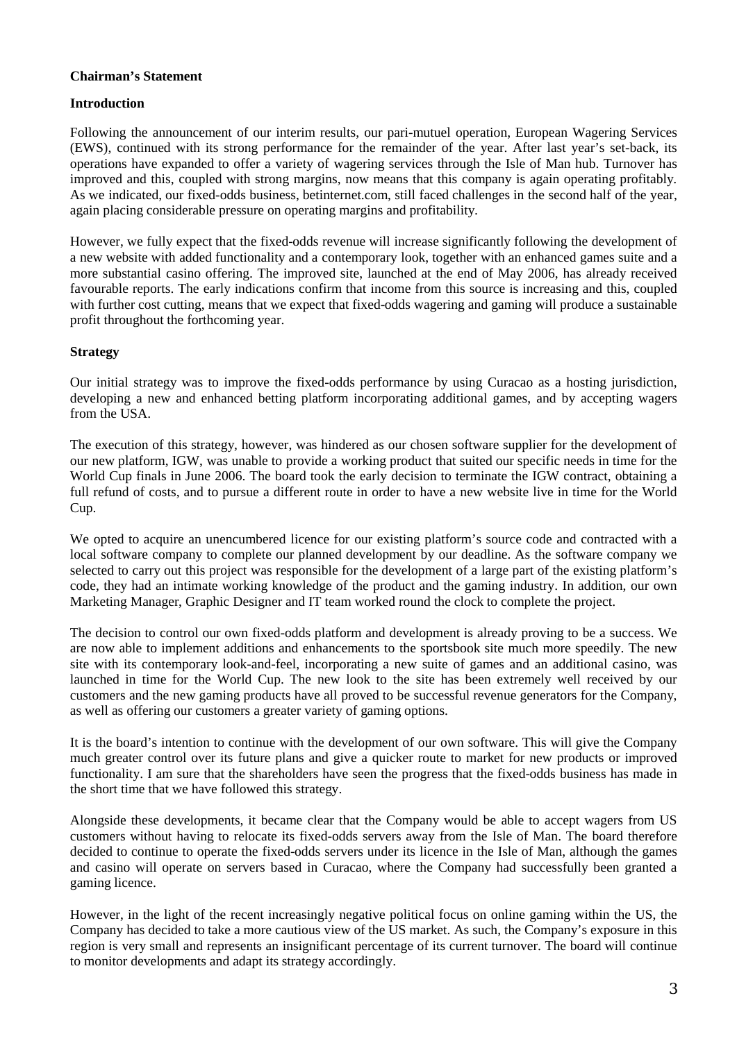# **Chairman's Statement**

## **Introduction**

Following the announcement of our interim results, our pari-mutuel operation, European Wagering Services (EWS), continued with its strong performance for the remainder of the year. After last year's set-back, its operations have expanded to offer a variety of wagering services through the Isle of Man hub. Turnover has improved and this, coupled with strong margins, now means that this company is again operating profitably. As we indicated, our fixed-odds business, betinternet.com, still faced challenges in the second half of the year, again placing considerable pressure on operating margins and profitability.

However, we fully expect that the fixed-odds revenue will increase significantly following the development of a new website with added functionality and a contemporary look, together with an enhanced games suite and a more substantial casino offering. The improved site, launched at the end of May 2006, has already received favourable reports. The early indications confirm that income from this source is increasing and this, coupled with further cost cutting, means that we expect that fixed-odds wagering and gaming will produce a sustainable profit throughout the forthcoming year.

# **Strategy**

Our initial strategy was to improve the fixed-odds performance by using Curacao as a hosting jurisdiction, developing a new and enhanced betting platform incorporating additional games, and by accepting wagers from the USA.

The execution of this strategy, however, was hindered as our chosen software supplier for the development of our new platform, IGW, was unable to provide a working product that suited our specific needs in time for the World Cup finals in June 2006. The board took the early decision to terminate the IGW contract, obtaining a full refund of costs, and to pursue a different route in order to have a new website live in time for the World Cup.

We opted to acquire an unencumbered licence for our existing platform's source code and contracted with a local software company to complete our planned development by our deadline. As the software company we selected to carry out this project was responsible for the development of a large part of the existing platform's code, they had an intimate working knowledge of the product and the gaming industry. In addition, our own Marketing Manager, Graphic Designer and IT team worked round the clock to complete the project.

The decision to control our own fixed-odds platform and development is already proving to be a success. We are now able to implement additions and enhancements to the sportsbook site much more speedily. The new site with its contemporary look-and-feel, incorporating a new suite of games and an additional casino, was launched in time for the World Cup. The new look to the site has been extremely well received by our customers and the new gaming products have all proved to be successful revenue generators for the Company, as well as offering our customers a greater variety of gaming options.

It is the board's intention to continue with the development of our own software. This will give the Company much greater control over its future plans and give a quicker route to market for new products or improved functionality. I am sure that the shareholders have seen the progress that the fixed-odds business has made in the short time that we have followed this strategy.

Alongside these developments, it became clear that the Company would be able to accept wagers from US customers without having to relocate its fixed-odds servers away from the Isle of Man. The board therefore decided to continue to operate the fixed-odds servers under its licence in the Isle of Man, although the games and casino will operate on servers based in Curacao, where the Company had successfully been granted a gaming licence.

However, in the light of the recent increasingly negative political focus on online gaming within the US, the Company has decided to take a more cautious view of the US market. As such, the Company's exposure in this region is very small and represents an insignificant percentage of its current turnover. The board will continue to monitor developments and adapt its strategy accordingly.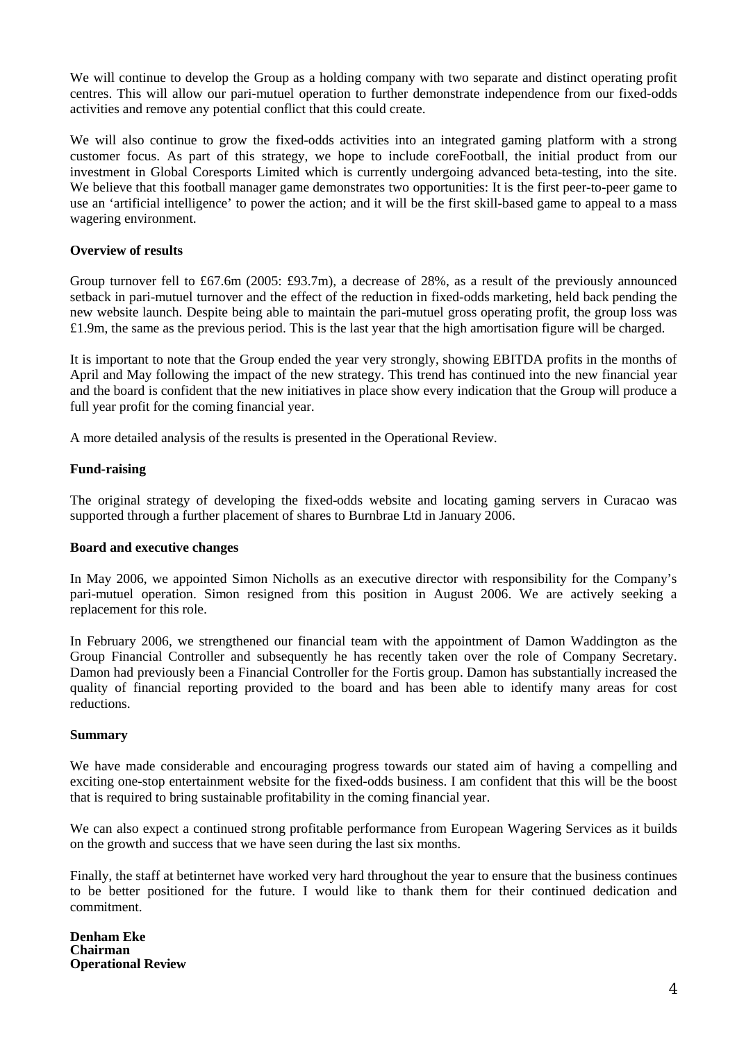We will continue to develop the Group as a holding company with two separate and distinct operating profit centres. This will allow our pari-mutuel operation to further demonstrate independence from our fixed-odds activities and remove any potential conflict that this could create.

We will also continue to grow the fixed-odds activities into an integrated gaming platform with a strong customer focus. As part of this strategy, we hope to include coreFootball, the initial product from our investment in Global Coresports Limited which is currently undergoing advanced beta-testing, into the site. We believe that this football manager game demonstrates two opportunities: It is the first peer-to-peer game to use an 'artificial intelligence' to power the action; and it will be the first skill-based game to appeal to a mass wagering environment.

## **Overview of results**

Group turnover fell to £67.6m (2005: £93.7m), a decrease of 28%, as a result of the previously announced setback in pari-mutuel turnover and the effect of the reduction in fixed-odds marketing, held back pending the new website launch. Despite being able to maintain the pari-mutuel gross operating profit, the group loss was £1.9m, the same as the previous period. This is the last year that the high amortisation figure will be charged.

It is important to note that the Group ended the year very strongly, showing EBITDA profits in the months of April and May following the impact of the new strategy. This trend has continued into the new financial year and the board is confident that the new initiatives in place show every indication that the Group will produce a full year profit for the coming financial year.

A more detailed analysis of the results is presented in the Operational Review.

# **Fund-raising**

The original strategy of developing the fixed-odds website and locating gaming servers in Curacao was supported through a further placement of shares to Burnbrae Ltd in January 2006.

## **Board and executive changes**

In May 2006, we appointed Simon Nicholls as an executive director with responsibility for the Company's pari-mutuel operation. Simon resigned from this position in August 2006. We are actively seeking a replacement for this role.

In February 2006, we strengthened our financial team with the appointment of Damon Waddington as the Group Financial Controller and subsequently he has recently taken over the role of Company Secretary. Damon had previously been a Financial Controller for the Fortis group. Damon has substantially increased the quality of financial reporting provided to the board and has been able to identify many areas for cost reductions.

## **Summary**

We have made considerable and encouraging progress towards our stated aim of having a compelling and exciting one-stop entertainment website for the fixed-odds business. I am confident that this will be the boost that is required to bring sustainable profitability in the coming financial year.

We can also expect a continued strong profitable performance from European Wagering Services as it builds on the growth and success that we have seen during the last six months.

Finally, the staff at betinternet have worked very hard throughout the year to ensure that the business continues to be better positioned for the future. I would like to thank them for their continued dedication and commitment.

**Denham Eke Chairman Operational Review**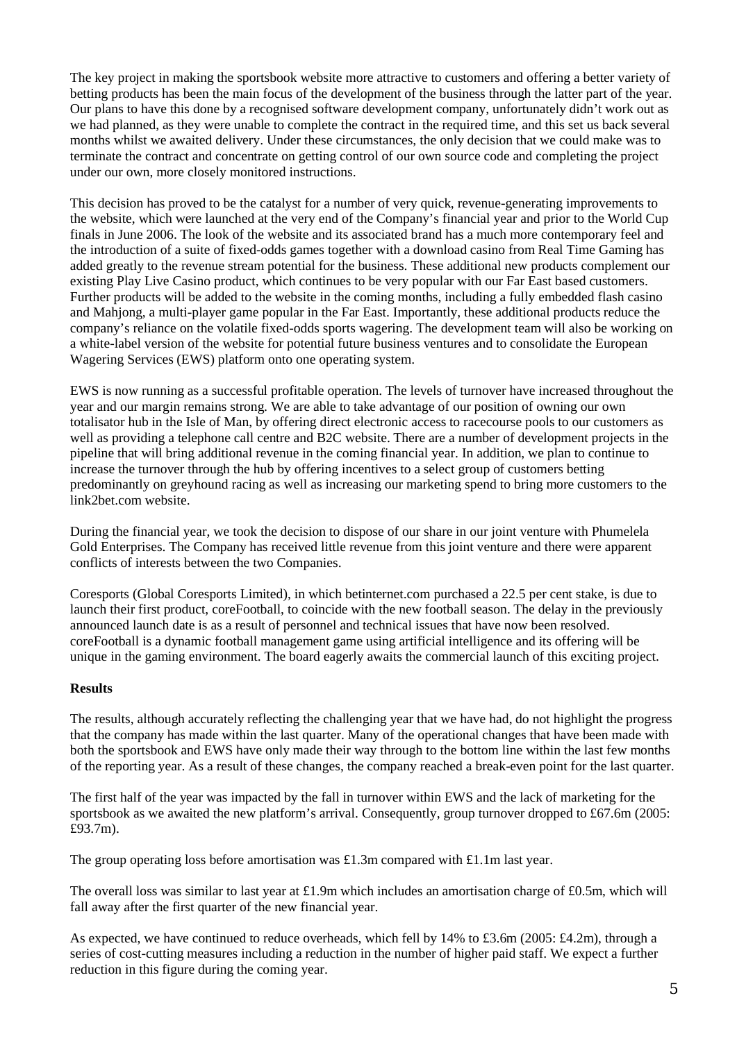The key project in making the sportsbook website more attractive to customers and offering a better variety of betting products has been the main focus of the development of the business through the latter part of the year. Our plans to have this done by a recognised software development company, unfortunately didn't work out as we had planned, as they were unable to complete the contract in the required time, and this set us back several months whilst we awaited delivery. Under these circumstances, the only decision that we could make was to terminate the contract and concentrate on getting control of our own source code and completing the project under our own, more closely monitored instructions.

This decision has proved to be the catalyst for a number of very quick, revenue-generating improvements to the website, which were launched at the very end of the Company's financial year and prior to the World Cup finals in June 2006. The look of the website and its associated brand has a much more contemporary feel and the introduction of a suite of fixed-odds games together with a download casino from Real Time Gaming has added greatly to the revenue stream potential for the business. These additional new products complement our existing Play Live Casino product, which continues to be very popular with our Far East based customers. Further products will be added to the website in the coming months, including a fully embedded flash casino and Mahjong, a multi-player game popular in the Far East. Importantly, these additional products reduce the company's reliance on the volatile fixed-odds sports wagering. The development team will also be working on a white-label version of the website for potential future business ventures and to consolidate the European Wagering Services (EWS) platform onto one operating system.

EWS is now running as a successful profitable operation. The levels of turnover have increased throughout the year and our margin remains strong. We are able to take advantage of our position of owning our own totalisator hub in the Isle of Man, by offering direct electronic access to racecourse pools to our customers as well as providing a telephone call centre and B2C website. There are a number of development projects in the pipeline that will bring additional revenue in the coming financial year. In addition, we plan to continue to increase the turnover through the hub by offering incentives to a select group of customers betting predominantly on greyhound racing as well as increasing our marketing spend to bring more customers to the link2bet.com website.

During the financial year, we took the decision to dispose of our share in our joint venture with Phumelela Gold Enterprises. The Company has received little revenue from this joint venture and there were apparent conflicts of interests between the two Companies.

Coresports (Global Coresports Limited), in which betinternet.com purchased a 22.5 per cent stake, is due to launch their first product, coreFootball, to coincide with the new football season. The delay in the previously announced launch date is as a result of personnel and technical issues that have now been resolved. coreFootball is a dynamic football management game using artificial intelligence and its offering will be unique in the gaming environment. The board eagerly awaits the commercial launch of this exciting project.

## **Results**

The results, although accurately reflecting the challenging year that we have had, do not highlight the progress that the company has made within the last quarter. Many of the operational changes that have been made with both the sportsbook and EWS have only made their way through to the bottom line within the last few months of the reporting year. As a result of these changes, the company reached a break-even point for the last quarter.

The first half of the year was impacted by the fall in turnover within EWS and the lack of marketing for the sportsbook as we awaited the new platform's arrival. Consequently, group turnover dropped to £67.6m (2005: £93.7m).

The group operating loss before amortisation was £1.3m compared with £1.1m last year.

The overall loss was similar to last year at £1.9m which includes an amortisation charge of £0.5m, which will fall away after the first quarter of the new financial year.

As expected, we have continued to reduce overheads, which fell by 14% to £3.6m (2005: £4.2m), through a series of cost-cutting measures including a reduction in the number of higher paid staff. We expect a further reduction in this figure during the coming year.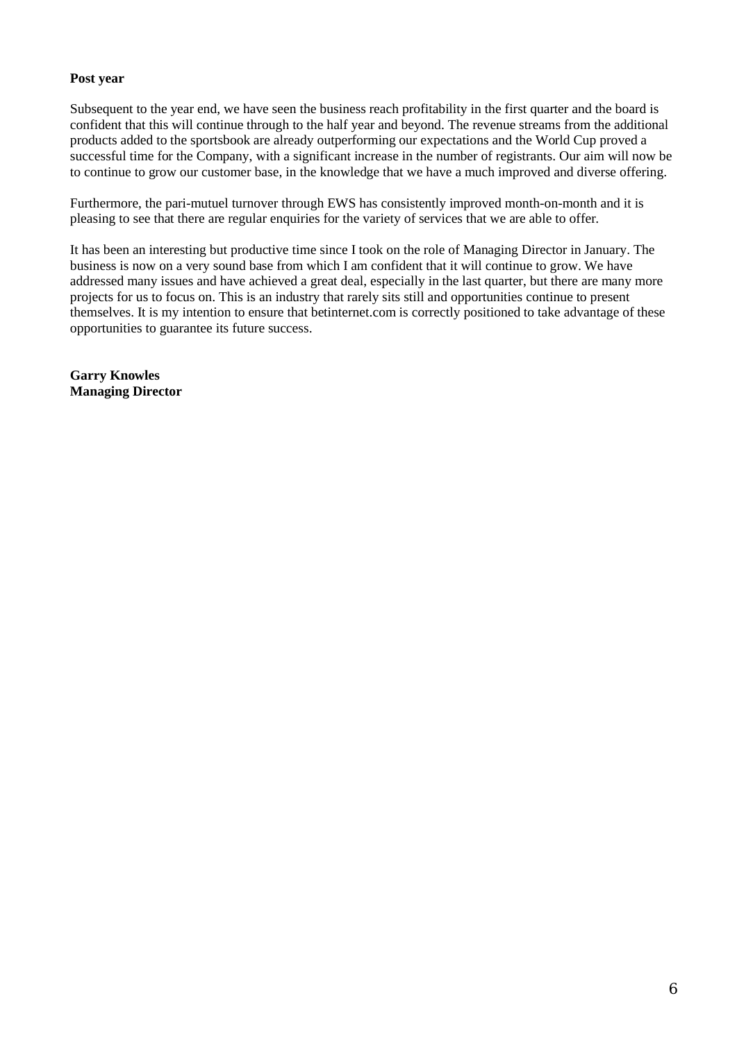# **Post year**

Subsequent to the year end, we have seen the business reach profitability in the first quarter and the board is confident that this will continue through to the half year and beyond. The revenue streams from the additional products added to the sportsbook are already outperforming our expectations and the World Cup proved a successful time for the Company, with a significant increase in the number of registrants. Our aim will now be to continue to grow our customer base, in the knowledge that we have a much improved and diverse offering.

Furthermore, the pari-mutuel turnover through EWS has consistently improved month-on-month and it is pleasing to see that there are regular enquiries for the variety of services that we are able to offer.

It has been an interesting but productive time since I took on the role of Managing Director in January. The business is now on a very sound base from which I am confident that it will continue to grow. We have addressed many issues and have achieved a great deal, especially in the last quarter, but there are many more projects for us to focus on. This is an industry that rarely sits still and opportunities continue to present themselves. It is my intention to ensure that betinternet.com is correctly positioned to take advantage of these opportunities to guarantee its future success.

**Garry Knowles Managing Director**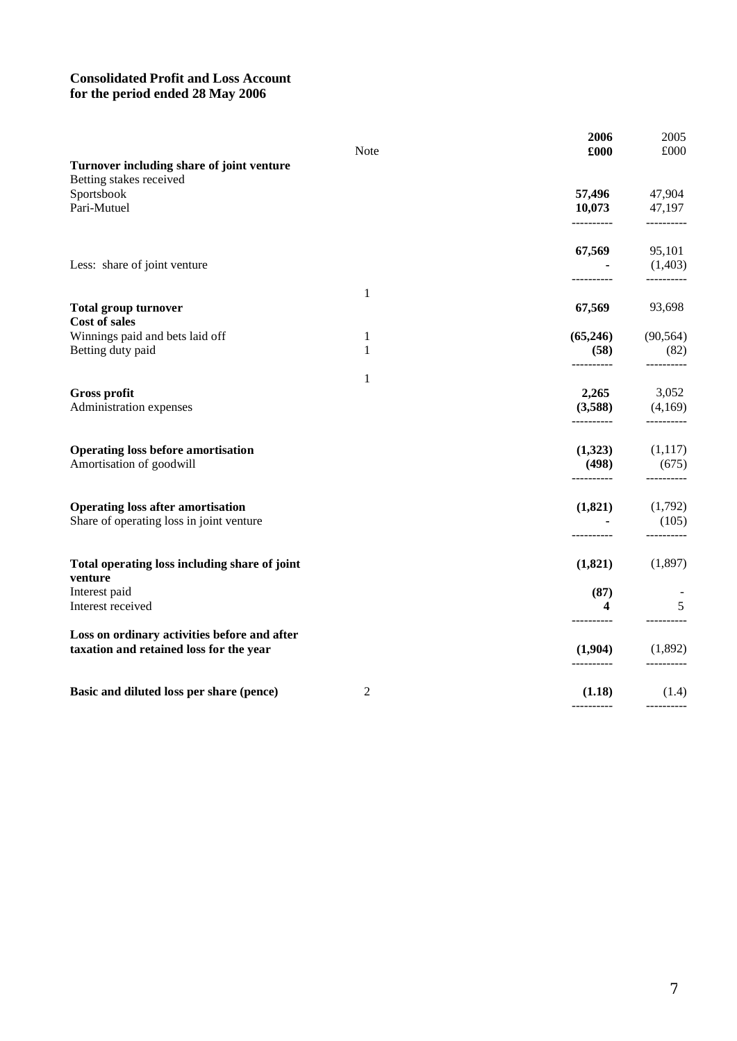# **Consolidated Profit and Loss Account for the period ended 28 May 2006**

|                                                                                      |              | 2006                  | 2005                  |
|--------------------------------------------------------------------------------------|--------------|-----------------------|-----------------------|
| Turnover including share of joint venture                                            | Note         | £000                  | £000                  |
| Betting stakes received                                                              |              |                       |                       |
| Sportsbook                                                                           |              | 57,496                | 47,904                |
| Pari-Mutuel                                                                          |              | 10,073<br>----------  | 47,197<br>----------  |
|                                                                                      |              |                       |                       |
| Less: share of joint venture                                                         |              | 67,569                | 95,101<br>(1,403)     |
|                                                                                      | 1            |                       | ----------            |
| <b>Total group turnover</b>                                                          |              | 67,569                | 93,698                |
| Cost of sales<br>Winnings paid and bets laid off                                     | 1            | (65,246)              | (90, 564)             |
| Betting duty paid                                                                    | $\mathbf{1}$ | (58)                  | (82)                  |
|                                                                                      | 1            | ----------            | ----------            |
| <b>Gross profit</b>                                                                  |              | 2,265                 | 3,052                 |
| Administration expenses                                                              |              | (3,588)<br>---------- | (4,169)<br>---------- |
| <b>Operating loss before amortisation</b>                                            |              | (1,323)               | (1,117)               |
| Amortisation of goodwill                                                             |              | (498)<br>----------   | (675)<br>----------   |
|                                                                                      |              |                       |                       |
| <b>Operating loss after amortisation</b><br>Share of operating loss in joint venture |              | (1,821)               | (1,792)<br>(105)      |
|                                                                                      |              |                       |                       |
| Total operating loss including share of joint<br>venture                             |              | (1,821)               | (1,897)               |
| Interest paid                                                                        |              | (87)                  |                       |
| Interest received                                                                    |              | 4<br>----------       | 5                     |
| Loss on ordinary activities before and after                                         |              |                       |                       |
| taxation and retained loss for the year                                              |              | (1,904)<br>---------- | (1,892)               |
| Basic and diluted loss per share (pence)                                             | 2            | (1.18)                | (1.4)                 |
|                                                                                      |              |                       |                       |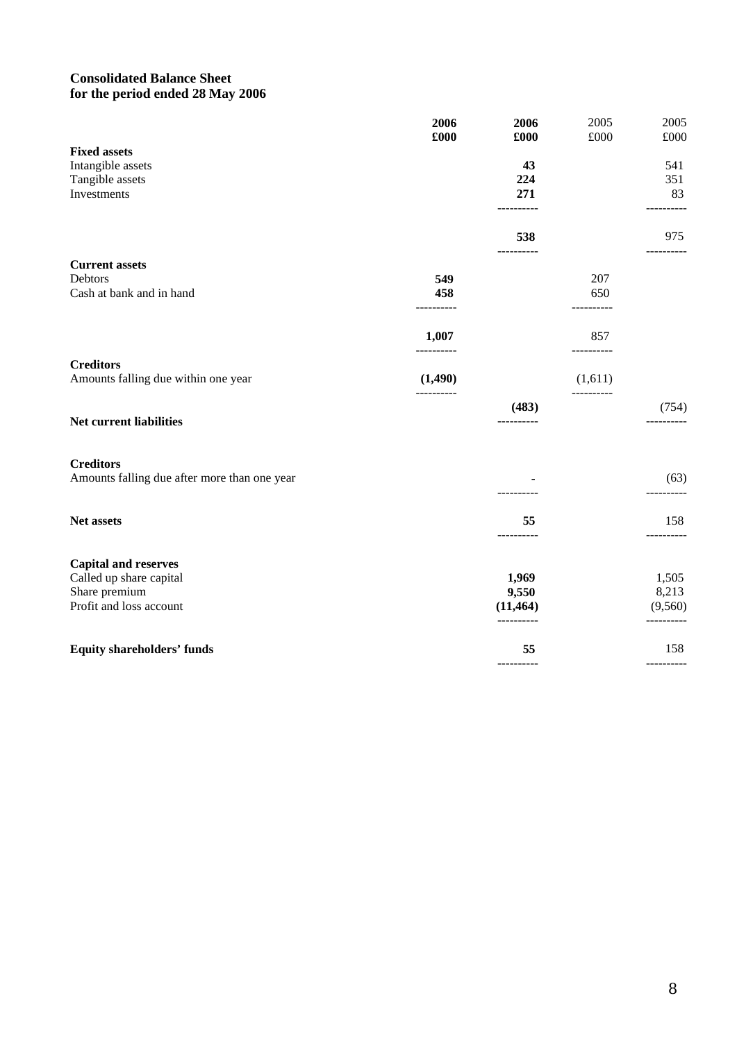# **Consolidated Balance Sheet for the period ended 28 May 2006**

|                                              | 2006<br>£000   | 2006<br>£000    | 2005<br>$\pounds000$ | 2005<br>£000     |
|----------------------------------------------|----------------|-----------------|----------------------|------------------|
| <b>Fixed assets</b>                          |                |                 |                      |                  |
| Intangible assets                            |                | 43              |                      | 541              |
| Tangible assets                              |                | 224             |                      | 351              |
| Investments                                  |                | 271             |                      | 83<br>---------- |
|                                              |                | 538<br>-------- |                      | 975<br>.         |
| <b>Current assets</b>                        |                |                 |                      |                  |
| Debtors                                      | 549            |                 | 207                  |                  |
| Cash at bank and in hand                     | 458<br>------- |                 | 650                  |                  |
|                                              | 1,007          |                 | 857<br>------        |                  |
| <b>Creditors</b>                             |                |                 |                      |                  |
| Amounts falling due within one year          | (1,490)        |                 | (1,611)              |                  |
|                                              |                | (483)           |                      | (754)            |
| Net current liabilities                      |                | ----------      |                      | ----------       |
| <b>Creditors</b>                             |                |                 |                      |                  |
| Amounts falling due after more than one year |                |                 |                      | (63)             |
| Net assets                                   |                | 55              |                      | 158              |
|                                              |                | ----------      |                      | ---------        |

| <b>Equity shareholders' funds</b> | 55        | 158     |
|-----------------------------------|-----------|---------|
|                                   |           |         |
| Profit and loss account           | (11, 464) | (9,560) |
| Share premium                     | 9,550     | 8,213   |
| Called up share capital           | 1,969     | 1,505   |
| <b>Capital and reserves</b>       |           |         |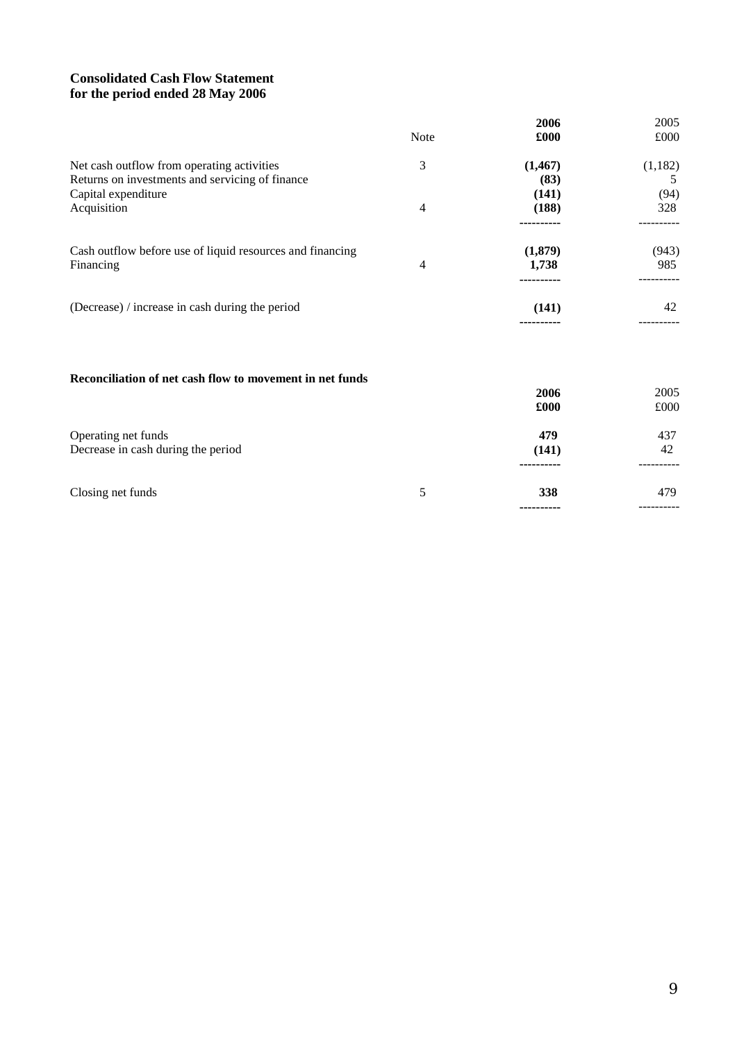# **Consolidated Cash Flow Statement for the period ended 28 May 2006**

|                                                                                               | Note | 2006<br>£000     | 2005<br>£000 |
|-----------------------------------------------------------------------------------------------|------|------------------|--------------|
| Net cash outflow from operating activities<br>Returns on investments and servicing of finance | 3    | (1, 467)<br>(83) | (1,182)<br>5 |
| Capital expenditure<br>Acquisition                                                            | 4    | (141)<br>(188)   | (94)<br>328  |
| Cash outflow before use of liquid resources and financing<br>Financing                        | 4    | (1,879)<br>1,738 | (943)<br>985 |
| (Decrease) / increase in cash during the period                                               |      | (141)<br>        | 42           |
| Reconciliation of net cash flow to movement in net funds                                      |      |                  |              |
|                                                                                               |      | 2006<br>£000     | 2005<br>£000 |
| Operating net funds<br>Decrease in cash during the period                                     |      | 479<br>(141)     | 437<br>42    |
| Closing net funds                                                                             | 5    | 338              | 479          |

**----------**

----------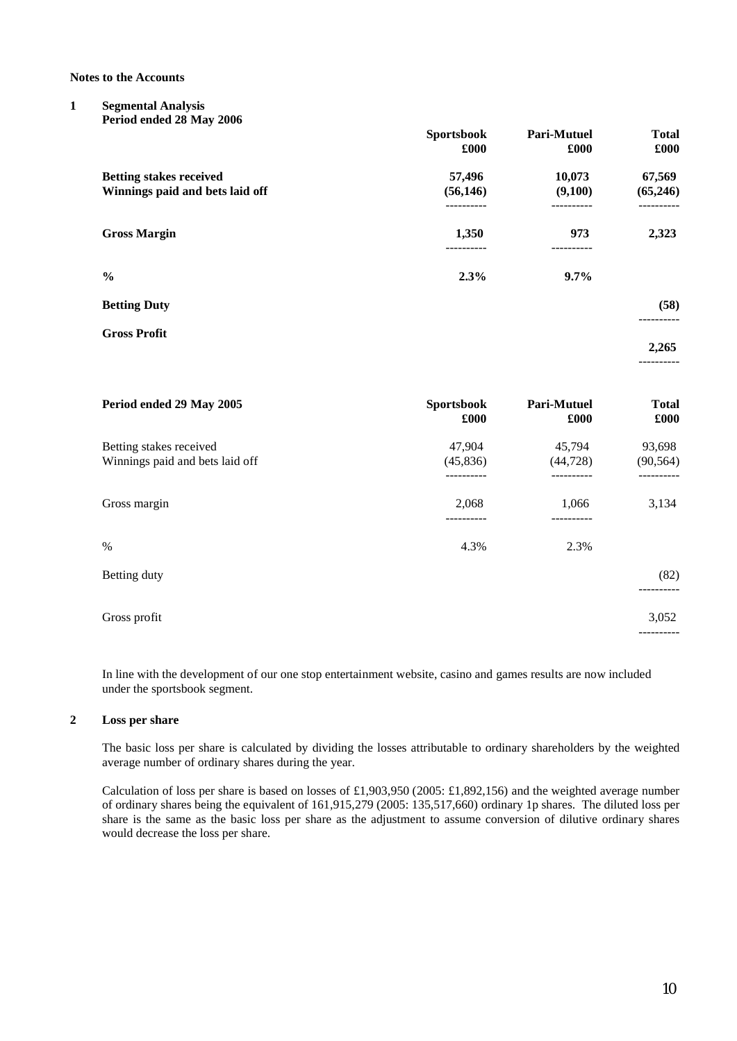**Notes to the Accounts**

#### **1 Segmental Analysis Period ended 28 May 2006**

|                                                                   | <b>Sportsbook</b><br>£000 | Pari-Mutuel<br>£000 | <b>Total</b><br>£000 |
|-------------------------------------------------------------------|---------------------------|---------------------|----------------------|
| <b>Betting stakes received</b><br>Winnings paid and bets laid off | 57,496<br>(56, 146)       | 10,073<br>(9,100)   | 67,569<br>(65, 246)  |
| <b>Gross Margin</b>                                               | 1,350                     | 973                 | 2,323                |
| $\frac{6}{6}$                                                     | 2.3%                      | $9.7\%$             |                      |
| <b>Betting Duty</b>                                               |                           |                     | (58)                 |
| <b>Gross Profit</b>                                               |                           |                     | 2,265<br>----------  |

| Period ended 29 May 2005                                   | <b>Sportsbook</b><br>£000 | Pari-Mutuel<br>£000 | <b>Total</b><br>£000 |
|------------------------------------------------------------|---------------------------|---------------------|----------------------|
| Betting stakes received<br>Winnings paid and bets laid off | 47,904<br>(45, 836)       | 45,794<br>(44, 728) | 93,698<br>(90, 564)  |
| Gross margin                                               | 2,068                     | 1,066               | 3,134                |
| $\%$                                                       | 4.3%                      | 2.3%                |                      |
| Betting duty                                               |                           |                     | (82)                 |
| Gross profit                                               |                           |                     | 3,052                |

In line with the development of our one stop entertainment website, casino and games results are now included under the sportsbook segment.

#### **2 Loss per share**

The basic loss per share is calculated by dividing the losses attributable to ordinary shareholders by the weighted average number of ordinary shares during the year.

Calculation of loss per share is based on losses of £1,903,950 (2005: £1,892,156) and the weighted average number of ordinary shares being the equivalent of 161,915,279 (2005: 135,517,660) ordinary 1p shares. The diluted loss per share is the same as the basic loss per share as the adjustment to assume conversion of dilutive ordinary shares would decrease the loss per share.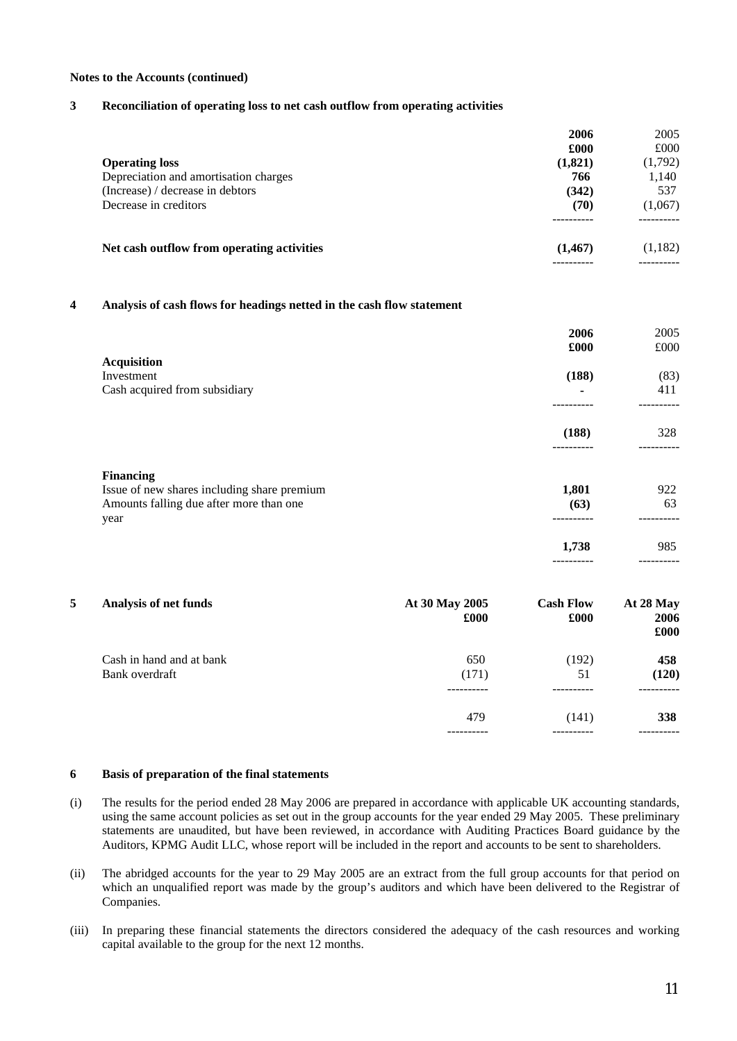#### **Notes to the Accounts (continued)**

#### **3 Reconciliation of operating loss to net cash outflow from operating activities**

|                                            | 2006     | 2005    |
|--------------------------------------------|----------|---------|
|                                            | £000     | £000    |
| <b>Operating loss</b>                      | (1,821)  | (1,792) |
| Depreciation and amortisation charges      | 766      | 1,140   |
| (Increase) / decrease in debtors           | (342)    | 537     |
| Decrease in creditors                      | (70)     | (1,067) |
| Net cash outflow from operating activities | (1, 467) | (1,182) |
|                                            |          |         |

#### **4 Analysis of cash flows for headings netted in the cash flow statement**

|                                                                                                | 2006          | 2005      |
|------------------------------------------------------------------------------------------------|---------------|-----------|
|                                                                                                | £000          | £000      |
| <b>Acquisition</b><br>Investment                                                               | (188)         | (83)      |
| Cash acquired from subsidiary                                                                  | ۰             | 411       |
|                                                                                                | (188)         | 328       |
| <b>Financing</b>                                                                               |               |           |
| Issue of new shares including share premium<br>Amounts falling due after more than one<br>year | 1,801<br>(63) | 922<br>63 |
|                                                                                                | 1,738         | 985       |
|                                                                                                |               |           |

| 5 | Analysis of net funds    | At 30 May 2005<br>£000 | <b>Cash Flow</b><br>£000 | At 28 May<br>2006<br>£000 |
|---|--------------------------|------------------------|--------------------------|---------------------------|
|   | Cash in hand and at bank | 650                    | (192)                    | 458                       |
|   | Bank overdraft           | (171)                  | 51                       | (120)                     |
|   |                          |                        |                          |                           |
|   |                          | 479                    | (141)                    | 338                       |
|   |                          |                        |                          |                           |

#### **6 Basis of preparation of the final statements**

- (i) The results for the period ended 28 May 2006 are prepared in accordance with applicable UK accounting standards, using the same account policies as set out in the group accounts for the year ended 29 May 2005. These preliminary statements are unaudited, but have been reviewed, in accordance with Auditing Practices Board guidance by the Auditors, KPMG Audit LLC, whose report will be included in the report and accounts to be sent to shareholders.
- (ii) The abridged accounts for the year to 29 May 2005 are an extract from the full group accounts for that period on which an unqualified report was made by the group's auditors and which have been delivered to the Registrar of Companies.
- (iii) In preparing these financial statements the directors considered the adequacy of the cash resources and working capital available to the group for the next 12 months.